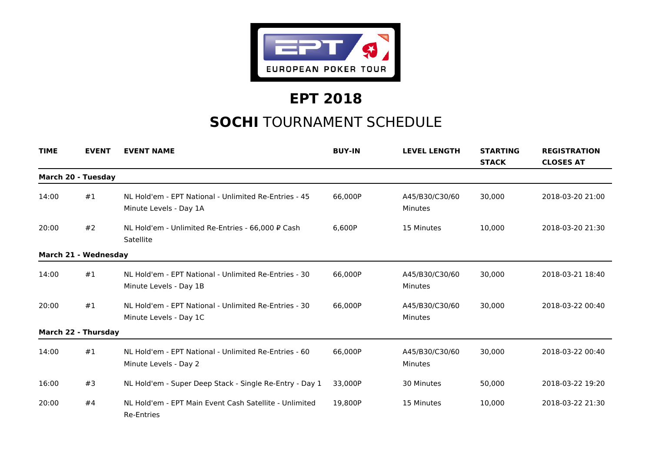

## **EPT 2018**

## **SOCHI** TOURNAMENT SCHEDULE

| <b>TIME</b>               | <b>EVENT</b>         | <b>EVENT NAME</b>                                                               | <b>BUY-IN</b> | <b>LEVEL LENGTH</b>              | <b>STARTING</b><br><b>STACK</b> | <b>REGISTRATION</b><br><b>CLOSES AT</b> |
|---------------------------|----------------------|---------------------------------------------------------------------------------|---------------|----------------------------------|---------------------------------|-----------------------------------------|
| <b>March 20 - Tuesday</b> |                      |                                                                                 |               |                                  |                                 |                                         |
| 14:00                     | #1                   | NL Hold'em - EPT National - Unlimited Re-Entries - 45<br>Minute Levels - Day 1A | 66,000P       | A45/B30/C30/60<br>Minutes        | 30.000                          | 2018-03-20 21:00                        |
| 20:00                     | #2                   | NL Hold'em - Unlimited Re-Entries - 66,000 ₽ Cash<br>Satellite                  | 6,600P        | 15 Minutes                       | 10,000                          | 2018-03-20 21:30                        |
|                           | March 21 - Wednesday |                                                                                 |               |                                  |                                 |                                         |
| 14:00                     | #1                   | NL Hold'em - EPT National - Unlimited Re-Entries - 30<br>Minute Levels - Day 1B | 66,000P       | A45/B30/C30/60<br><b>Minutes</b> | 30,000                          | 2018-03-21 18:40                        |
| 20:00                     | #1                   | NL Hold'em - EPT National - Unlimited Re-Entries - 30<br>Minute Levels - Day 1C | 66,000P       | A45/B30/C30/60<br><b>Minutes</b> | 30,000                          | 2018-03-22 00:40                        |
|                           | March 22 - Thursday  |                                                                                 |               |                                  |                                 |                                         |
| 14:00                     | #1                   | NL Hold'em - EPT National - Unlimited Re-Entries - 60<br>Minute Levels - Day 2  | 66,000P       | A45/B30/C30/60<br>Minutes        | 30,000                          | 2018-03-22 00:40                        |
| 16:00                     | #3                   | NL Hold'em - Super Deep Stack - Single Re-Entry - Day 1                         | 33.000P       | 30 Minutes                       | 50,000                          | 2018-03-22 19:20                        |
| 20:00                     | #4                   | NL Hold'em - EPT Main Event Cash Satellite - Unlimited<br><b>Re-Entries</b>     | 19,800P       | 15 Minutes                       | 10,000                          | 2018-03-22 21:30                        |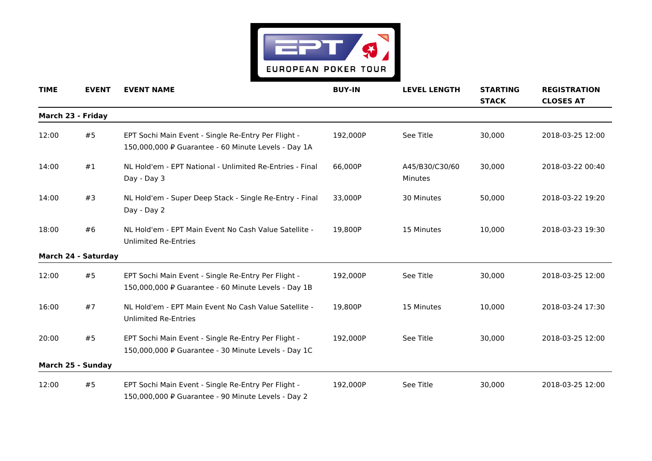

| <b>TIME</b> | <b>EVENT</b>        | <b>EVENT NAME</b>                                                                                          | <b>BUY-IN</b> | <b>LEVEL LENGTH</b>       | <b>STARTING</b><br><b>STACK</b> | <b>REGISTRATION</b><br><b>CLOSES AT</b> |
|-------------|---------------------|------------------------------------------------------------------------------------------------------------|---------------|---------------------------|---------------------------------|-----------------------------------------|
|             | March 23 - Friday   |                                                                                                            |               |                           |                                 |                                         |
| 12:00       | #5                  | EPT Sochi Main Event - Single Re-Entry Per Flight -<br>150,000,000 P Guarantee - 60 Minute Levels - Day 1A | 192,000P      | See Title                 | 30,000                          | 2018-03-25 12:00                        |
| 14:00       | #1                  | NL Hold'em - EPT National - Unlimited Re-Entries - Final<br>Day - Day 3                                    | 66,000P       | A45/B30/C30/60<br>Minutes | 30,000                          | 2018-03-22 00:40                        |
| 14:00       | #3                  | NL Hold'em - Super Deep Stack - Single Re-Entry - Final<br>Day - Day 2                                     | 33,000P       | 30 Minutes                | 50,000                          | 2018-03-22 19:20                        |
| 18:00       | #6                  | NL Hold'em - EPT Main Event No Cash Value Satellite -<br><b>Unlimited Re-Entries</b>                       | 19,800P       | 15 Minutes                | 10,000                          | 2018-03-23 19:30                        |
|             | March 24 - Saturday |                                                                                                            |               |                           |                                 |                                         |
| 12:00       | #5                  | EPT Sochi Main Event - Single Re-Entry Per Flight -<br>150,000,000 ₽ Guarantee - 60 Minute Levels - Day 1B | 192,000P      | See Title                 | 30,000                          | 2018-03-25 12:00                        |
| 16:00       | #7                  | NL Hold'em - EPT Main Event No Cash Value Satellite -<br><b>Unlimited Re-Entries</b>                       | 19,800P       | 15 Minutes                | 10,000                          | 2018-03-24 17:30                        |
| 20:00       | #5                  | EPT Sochi Main Event - Single Re-Entry Per Flight -<br>150,000,000 P Guarantee - 30 Minute Levels - Day 1C | 192,000P      | See Title                 | 30,000                          | 2018-03-25 12:00                        |
|             | March 25 - Sunday   |                                                                                                            |               |                           |                                 |                                         |
| 12:00       | #5                  | EPT Sochi Main Event - Single Re-Entry Per Flight -<br>150,000,000 P Guarantee - 90 Minute Levels - Day 2  | 192,000P      | See Title                 | 30,000                          | 2018-03-25 12:00                        |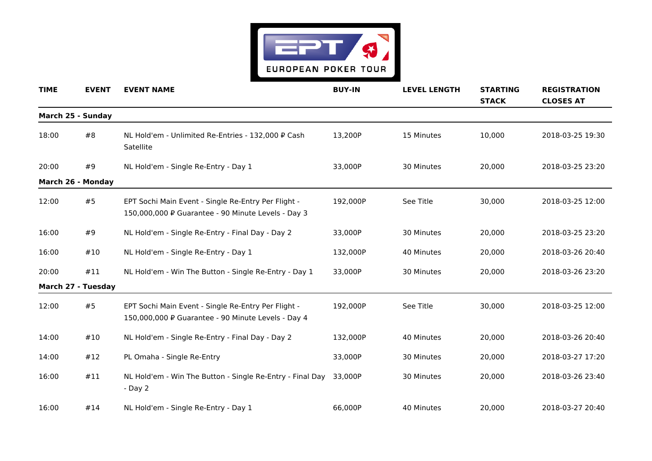

| <b>TIME</b> | <b>EVENT</b>              | <b>EVENT NAME</b>                                                                                         | <b>BUY-IN</b> | <b>LEVEL LENGTH</b> | <b>STARTING</b><br><b>STACK</b> | <b>REGISTRATION</b><br><b>CLOSES AT</b> |
|-------------|---------------------------|-----------------------------------------------------------------------------------------------------------|---------------|---------------------|---------------------------------|-----------------------------------------|
|             | March 25 - Sunday         |                                                                                                           |               |                     |                                 |                                         |
| 18:00       | #8                        | NL Hold'em - Unlimited Re-Entries - 132,000 P Cash<br>Satellite                                           | 13,200P       | 15 Minutes          | 10,000                          | 2018-03-25 19:30                        |
| 20:00       | #9                        | NL Hold'em - Single Re-Entry - Day 1                                                                      | 33,000P       | 30 Minutes          | 20,000                          | 2018-03-25 23:20                        |
|             | March 26 - Monday         |                                                                                                           |               |                     |                                 |                                         |
| 12:00       | #5                        | EPT Sochi Main Event - Single Re-Entry Per Flight -<br>150,000,000 P Guarantee - 90 Minute Levels - Day 3 | 192,000P      | See Title           | 30,000                          | 2018-03-25 12:00                        |
| 16:00       | #9                        | NL Hold'em - Single Re-Entry - Final Day - Day 2                                                          | 33,000P       | 30 Minutes          | 20,000                          | 2018-03-25 23:20                        |
| 16:00       | #10                       | NL Hold'em - Single Re-Entry - Day 1                                                                      | 132,000P      | 40 Minutes          | 20,000                          | 2018-03-26 20:40                        |
| 20:00       | #11                       | NL Hold'em - Win The Button - Single Re-Entry - Day 1                                                     | 33,000P       | 30 Minutes          | 20,000                          | 2018-03-26 23:20                        |
|             | <b>March 27 - Tuesday</b> |                                                                                                           |               |                     |                                 |                                         |
| 12:00       | #5                        | EPT Sochi Main Event - Single Re-Entry Per Flight -<br>150,000,000 P Guarantee - 90 Minute Levels - Day 4 | 192.000P      | See Title           | 30,000                          | 2018-03-25 12:00                        |
| 14:00       | #10                       | NL Hold'em - Single Re-Entry - Final Day - Day 2                                                          | 132,000P      | 40 Minutes          | 20,000                          | 2018-03-26 20:40                        |
| 14:00       | #12                       | PL Omaha - Single Re-Entry                                                                                | 33,000P       | 30 Minutes          | 20,000                          | 2018-03-27 17:20                        |
| 16:00       | #11                       | NL Hold'em - Win The Button - Single Re-Entry - Final Day<br>- Day 2                                      | 33,000P       | 30 Minutes          | 20,000                          | 2018-03-26 23:40                        |
| 16:00       | #14                       | NL Hold'em - Single Re-Entry - Day 1                                                                      | 66,000P       | 40 Minutes          | 20,000                          | 2018-03-27 20:40                        |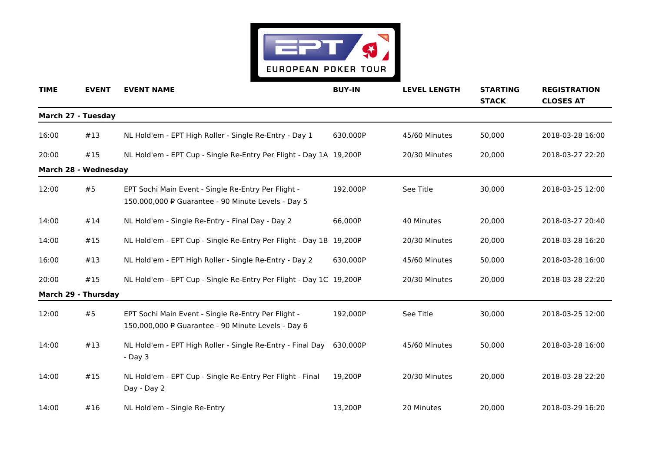

| <b>TIME</b> | <b>EVENT</b>         | <b>EVENT NAME</b>                                                                                         | <b>BUY-IN</b> | <b>LEVEL LENGTH</b> | <b>STARTING</b><br><b>STACK</b> | <b>REGISTRATION</b><br><b>CLOSES AT</b> |
|-------------|----------------------|-----------------------------------------------------------------------------------------------------------|---------------|---------------------|---------------------------------|-----------------------------------------|
|             | March 27 - Tuesday   |                                                                                                           |               |                     |                                 |                                         |
| 16:00       | #13                  | NL Hold'em - EPT High Roller - Single Re-Entry - Day 1                                                    | 630,000P      | 45/60 Minutes       | 50,000                          | 2018-03-28 16:00                        |
| 20:00       | #15                  | NL Hold'em - EPT Cup - Single Re-Entry Per Flight - Day 1A 19,200P                                        |               | 20/30 Minutes       | 20,000                          | 2018-03-27 22:20                        |
|             | March 28 - Wednesday |                                                                                                           |               |                     |                                 |                                         |
| 12:00       | #5                   | EPT Sochi Main Event - Single Re-Entry Per Flight -<br>150,000,000 P Guarantee - 90 Minute Levels - Day 5 | 192,000P      | See Title           | 30,000                          | 2018-03-25 12:00                        |
| 14:00       | #14                  | NL Hold'em - Single Re-Entry - Final Day - Day 2                                                          | 66,000P       | 40 Minutes          | 20,000                          | 2018-03-27 20:40                        |
| 14:00       | #15                  | NL Hold'em - EPT Cup - Single Re-Entry Per Flight - Day 1B 19,200P                                        |               | 20/30 Minutes       | 20,000                          | 2018-03-28 16:20                        |
| 16:00       | #13                  | NL Hold'em - EPT High Roller - Single Re-Entry - Day 2                                                    | 630,000P      | 45/60 Minutes       | 50,000                          | 2018-03-28 16:00                        |
| 20:00       | #15                  | NL Hold'em - EPT Cup - Single Re-Entry Per Flight - Day 1C 19,200P                                        |               | 20/30 Minutes       | 20,000                          | 2018-03-28 22:20                        |
|             | March 29 - Thursday  |                                                                                                           |               |                     |                                 |                                         |
| 12:00       | #5                   | EPT Sochi Main Event - Single Re-Entry Per Flight -<br>150,000,000 P Guarantee - 90 Minute Levels - Day 6 | 192,000P      | See Title           | 30,000                          | 2018-03-25 12:00                        |
| 14:00       | #13                  | NL Hold'em - EPT High Roller - Single Re-Entry - Final Day<br>$-Day3$                                     | 630,000P      | 45/60 Minutes       | 50,000                          | 2018-03-28 16:00                        |
| 14:00       | #15                  | NL Hold'em - EPT Cup - Single Re-Entry Per Flight - Final<br>Day - Day 2                                  | 19,200P       | 20/30 Minutes       | 20,000                          | 2018-03-28 22:20                        |
| 14:00       | #16                  | NL Hold'em - Single Re-Entry                                                                              | 13,200P       | 20 Minutes          | 20,000                          | 2018-03-29 16:20                        |